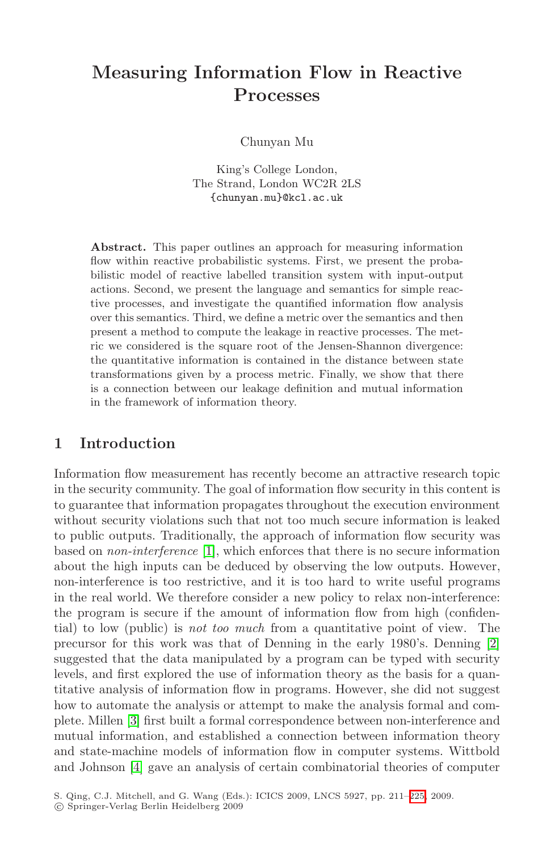# **Measuring Information Flow in Reactive Processes**

Chunyan Mu

King's College London, The Strand, London WC2R 2LS {chunyan.mu}@kcl.ac.uk

Abstract. This paper outlines an approach for measuring information flow within reactive probabilistic systems. First, we present the probabilistic model of reactive labelled transition system with input-output actions. Second, we present the language and semantics for simple reactive processes, and investigate the quantified information flow analysis over this semantics. Third, we define a metric over the semantics and then present a method to compute the leakage in reactive processes. The metric we considered is the square root of the Jensen-Shannon divergence: the quantitative information is contained in the distance between state transformations given by a process metric. Finally, we show that there is a connection between our leakage definition and mutual information in the framework of information theory.

## **1 In[tr](#page-13-0)oduction**

Information flow measurement has recently become an attractive research topic in the security community. The goal of information flow security in this content is to guarantee that information propagates throughout the execution environment without security violations such that not too much secure [in](#page-14-0)formation is leaked to public outputs. Traditionally, the approach of information flow security was based on *non-interference* [1], which enforces that there is no secure information about the high inputs can be deduced by observing the low outputs. However, non-interference is too restrictive, and it is too hard to write useful programs in the real world. We therefore consider a new policy to relax non-interference: the program is secure if the amount of information flow from high (confidential) to low (public) is *not too much* from a quantitative point of view. The precursor for this work was that of Denning in the early 1980's. Denning [2] suggested that the data manipulated by a program can be typed with security levels, and first explored the use of informa[tion](#page-14-1) theory as the basis for a quantitative analysis of information flow in programs. However, she did not suggest how to automate the analysis or attempt to make the analysis formal and complete. Millen [3] first built a formal correspondence between non-interference and mutual information, and established a connection between information theory and state-machine models of information flow in computer systems. Wittbold and Johnson [4] gave an analysis of certain combinatorial theories of computer

S. Qing, C.J. Mitchell, and G. Wang (Eds.): ICICS 2009, LNCS 5927, pp. 211–225, 2009.

<sup>-</sup>c Springer-Verlag Berlin Heidelberg 2009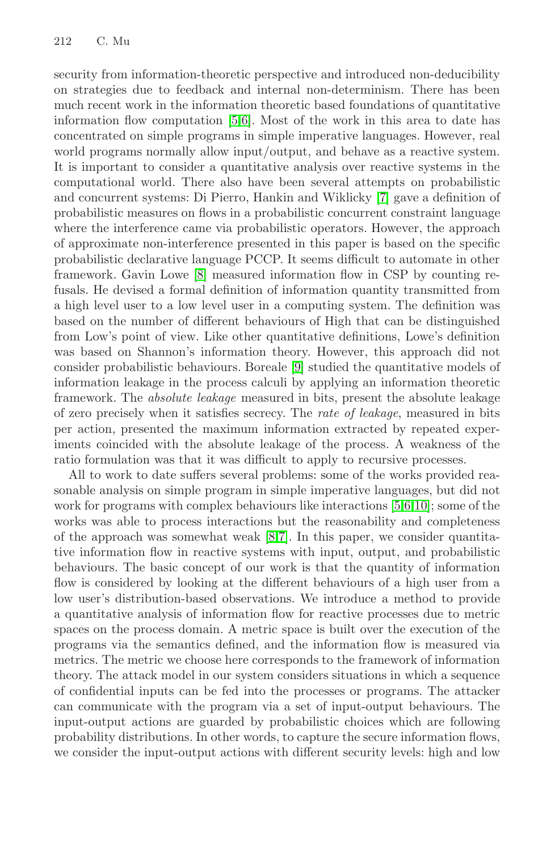security from information-theoretic pe[rsp](#page-14-2)ective and introduced non-deducibility on strategies due to feedback and internal non-determinism. There has been much recent work in the information theoretic based foundations of quantitative information flow computation [5,6]. Most of the work in this area to date has concentrated on simple programs in simple imperative languages. However, real world [pr](#page-14-3)ograms normally allow input/output, and behave as a reactive system. It is important to consider a quantitative analysis over reactive systems in the computational world. There also have been several attempts on probabilistic and concurrent systems: Di Pierro, Hankin and Wiklicky [7] gave a definition of probabilistic measures on flows in a probabilistic concurrent constraint language where the interference came via probabilistic operators. However, the approach of approximate non-int[erf](#page-14-4)erence presented in this paper is based on the specific probabilistic declarative language PCCP. It seems difficult to automate in other framework. Gavin Lowe [8] measured information flow in CSP by counting refusals. He devised a formal definition of information quantity transmitted from a high level user to a low level user in a computing system. The definition was based on the number of different behaviours of High that can be distinguished from Low's point of view. Like other quantitative definitions, Lowe's definition was based on Shannon's information theory. However, this approach did not consider probabilistic behaviours. Boreale [9] studied the quantitative models of information leakage in the process calcul[i b](#page-14-5)[y](#page-14-6) [ap](#page-14-7)plying an information theoretic framework. The *absolute leakage* measured in bits, present the absolute leakage of zero precisely w[he](#page-14-3)[n](#page-14-2) it satisfies secrecy. The *rate of leakage*, measured in bits per action, presented the maximum information extracted by repeated experiments coincided with the absolute leakage of the process. A weakness of the ratio formulation was that it was difficult to apply to recursive processes.

All to work to date suffers several problems: some of the works provided reasonable analysis on simple program in simple imperative languages, but did not work for programs with complex behaviours like interactions [5,6,10]; some of the works was able to process interactions but the reasonability and completeness of the approach was somewhat weak [8,7]. In this paper, we consider quantitative information flow in reactive systems with input, output, and probabilistic behaviours. The basic concept of our work is that the quantity of information flow is considered by looking at the different behaviours of a high user from a low user's distribution-based observations. We introduce a method to provide a quantitative analysis of information flow for reactive processes due to metric spaces on the process domain. A metric space is built over the execution of the programs via the semantics defined, and the information flow is measured via metrics. The metric we choose here corresponds to the framework of information theory. The attack model in our system considers situations in which a sequence of confidential inputs can be fed into the processes or programs. The attacker can communicate with the program via a set of input-output behaviours. The input-output actions are guarded by probabilistic choices which are following probability distributions. In other words, to capture the secure information flows, we consider the input-output actions with different security levels: high and low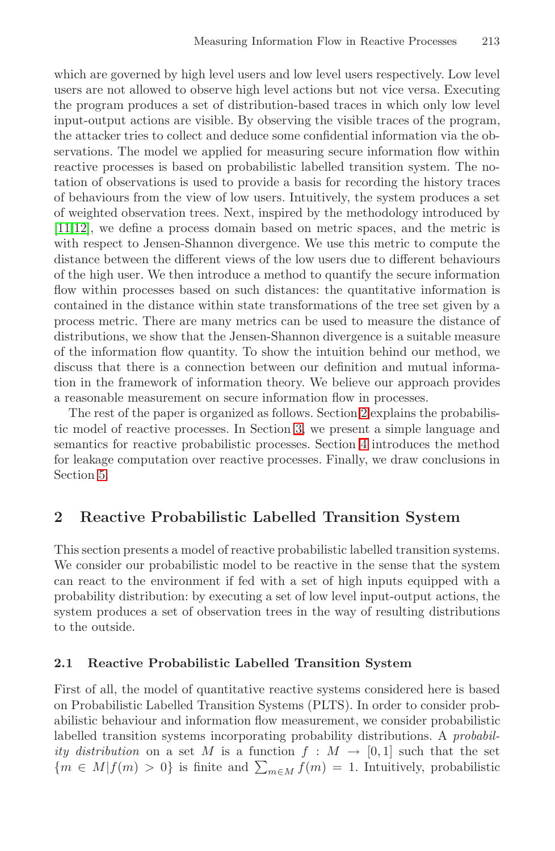which are governed by high level users and low level users respectively. Low level users are not allowed to observe high level actions but not vice versa. Executing the program produces a set of distribution-based traces in which only low level input-output actions are visible. By observing the visible traces of the program, the attacker tries to collect and deduce some confidential information via the observations. The model we applied for measuring secure information flow within reactive processes is based on probabilistic labelled transition system. The notation of observations is used to provide a basis for recording the history traces of behaviours from the view of low users. Intuitively, the system produces a set of weighted observation trees. Next, inspired by the methodology introduced by [11,12], we define a process domain based on metric spaces, and the metric is with respect to Jensen-Shannon divergence. We use this metric to compute the distance between the different views of the low users due to different behaviours of the high user. We then introduce a method to quantify the secure information flow within processes based on suc[h](#page-2-0) distances: the quantitative information is contained in the distan[ce](#page-5-0) within state transformations of the tree set given by a process metric. There are many me[tri](#page-7-0)cs can be used to measure the distance of distributions, we show that the Jensen-Shannon divergence is a suitable measure of the information flow quantity. To show the intuition behind our method, we discuss that there is a connection between our definition and mutual information in the framework of information theory. We believe our approach provides a reasonable measurement on secure information flow in processes.

<span id="page-2-0"></span>The rest of the paper is organized as follows. Section 2 explains the probabilistic model of reactive processes. In Section 3, we present a simple language and semantics for reactive probabilistic processes. Section 4 introduces the method for leakage computation over reactive processes. Finally, we draw conclusions in Section 5.

## **2 Reactive Probabilistic Labelled Transition System**

This section presents a model of reactive probabilistic labelled transition systems. We consider our probabilistic model to be reactive in the sense that the system can react to the environment if fed with a set of high inputs equipped with a probability distribution: by executing a set of low level input-output actions, the system produces a set of observation trees in the way of resulting distributions to the outside.

## **2.1 Reactive Probabilistic Labelled Transition System**

First of all, the model of quantitative reactive systems considered here is based on Probabilistic Labelled Transition Systems (PLTS). In order to consider probabilistic behaviour and information flow measurement, we consider probabilistic labelled transition systems incorporating probability distributions. A *probability distribution* on a set M is a function  $f : M \to [0,1]$  such that the set  ${m \in M | f(m) > 0}$  is finite and  $\sum_{m \in M} f(m) = 1$ . Intuitively, probabilistic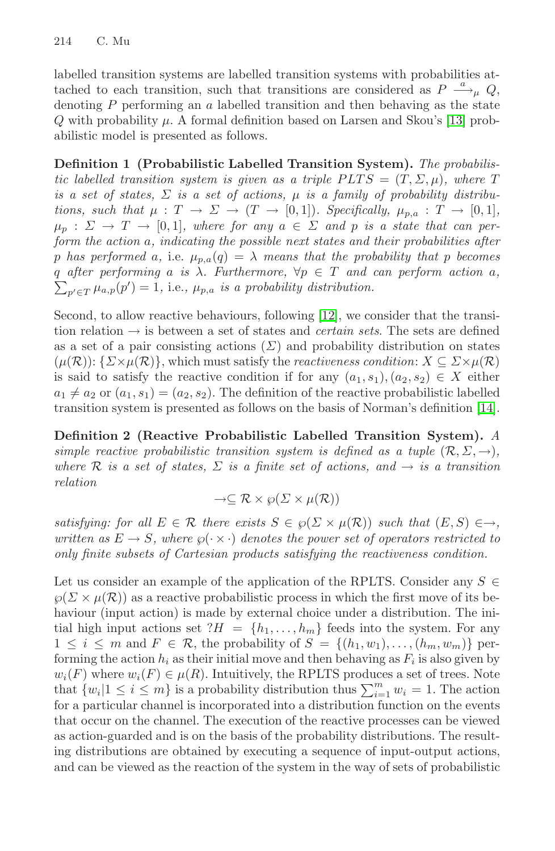labelled transition systems are labelled transition systems with probabilities attached to each transition, such that transitions are considered as  $P \stackrel{a}{\longrightarrow}_{\mu} Q$ , denoting  $P$  performing an  $\alpha$  labelled transition and then behaving as the state  $\Omega$  with probability  $\mu$ . A formal definition based on Larsen and Skou's [13] probabilistic model is presented as follows.

**Definition 1 (Probabilistic Labelled Transition System).** *The probabilistic labelled transition system is given as a triple*  $PLTS = (T, \Sigma, \mu)$ , where T *is a set of states,* Σ *is a s[et o](#page-14-8)f actions,* μ *is a family of probability distributions, such that*  $\mu : T \to \Sigma \to (T \to [0,1])$ *. Specifically,*  $\mu_{p,a} : T \to [0,1]$ *,*  $\mu_p : \Sigma \to T \to [0,1],$  where for any  $a \in \Sigma$  and p is a state that can per*form the action* a*, indicating the possible next states and their probabilities after* p has performed a, i.e.  $\mu_{p,q}(q) = \lambda$  means that the probability that p becomes q after performing a is  $\lambda$ . Furthermore,  $\forall p \in T$  and can perform action a,  $\sum_{p' \in T} \mu_{a,p}(p') = 1$ , i[.](#page-14-9)e.,  $\mu_{p,a}$  *is a probability distribution.* 

Second, to allow reactive behaviours, following [12], we consider that the transition relation → is between a set of states and *certain sets*. The sets are defined as a set of a pair consisting actions  $(\Sigma)$  and probability distribution on states  $(\mu(\mathcal{R}))$ :  $\{\Sigma \times \mu(\mathcal{R})\}$ , which must satisfy the *reactiveness condition*:  $X \subseteq \Sigma \times \mu(\mathcal{R})$ is said to satisfy the reactive condition if for any  $(a_1, s_1), (a_2, s_2) \in X$  either  $a_1 \neq a_2$  or  $(a_1, s_1) = (a_2, s_2)$ . The definition of the reactive probabilistic labelled transition system is presented as follows on the basis of Norman's definition [14].

**Definition 2 (Reactive Probabilistic Labelled Transition System).** *A simple reactive probabilistic transition system is defined as a tuple*  $(\mathcal{R}, \Sigma, \rightarrow)$ *, where*  $R$  *is a set of states,*  $\Sigma$  *is a finite set of actions, and*  $\rightarrow$  *is a transition relation*

$$
\to \subseteq \mathcal{R} \times \wp(\Sigma \times \mu(\mathcal{R}))
$$

*satisfying: for all*  $E \in \mathcal{R}$  *there exists*  $S \in \wp(\Sigma \times \mu(\mathcal{R}))$  *such that*  $(E, S) \in \rightarrow$ *, written as*  $E \to S$ *, where*  $\wp(\cdot \times \cdot)$  *denotes the power set of operators restricted to only finite subsets of Cartesian products satisfying the reactiveness condition.*

Let us consider an example of the application of the RPLTS. Consider any  $S \in$  $\varphi(\Sigma \times \mu(\mathcal{R}))$  as a reactive probabilistic process in which the first move of its behaviour (input action) is made by external choice under a distribution. The initial high input actions set  $H = \{h_1, \ldots, h_m\}$  feeds into the system. For any  $1 \leq i \leq m$  and  $F \in \mathcal{R}$ , the probability of  $S = \{(h_1, w_1), \ldots, (h_m, w_m)\}\$  performing the action  $h_i$  as their initial move and then behaving as  $F_i$  is also given by  $w_i(F)$  where  $w_i(F) \in \mu(R)$ . Intuitively, the RPLTS produces a set of trees. Note that  $\{w_i | 1 \leq i \leq m\}$  is a probability distribution thus  $\sum_{i=1}^{m} w_i = 1$ . The action for a particular channel is incorporated into a distribution function on the events that occur on the channel. The execution of the reactive processes can be viewed as action-guarded and is on the basis of the probability distributions. The resulting distributions are obtained by executing a sequence of input-output actions, and can be viewed as the reaction of the system in the way of sets of probabilistic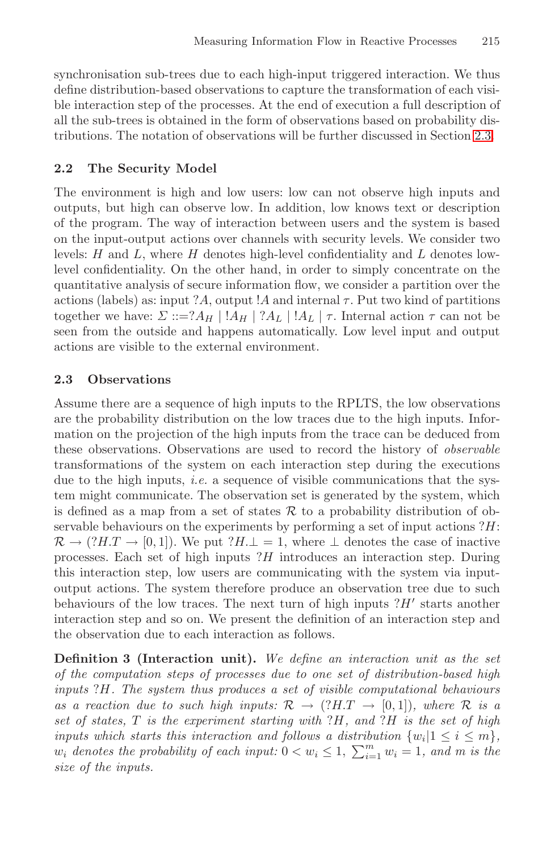synchronisation sub-trees due to each high-input triggered interaction. We thus define distribution-based observations to capture the transformation of each visible interaction step of the processes. At the end of execution a full description of all the sub-trees is obtained in the form of observations based on probability distributions. The notation of observations will be further discussed in Section 2.3.

#### **2.2 The Security Model**

The environment is high and low users: low can not observe high inputs and outputs, but high can observe low. In addition, low knows text or description of the program. The way of interaction between users and the system is based on the input-output actions over channels with security levels. We consider two levels:  $H$  and  $L$ , where  $H$  denotes high-level confidentiality and  $L$  denotes lowlevel confidentiality. On the other hand, in order to simply concentrate on the quantitative analysis of secure information flow, we consider a partition over the actions (labels) as: input ?A, output !A and internal  $\tau$ . Put two kind of partitions together we have:  $\Sigma ::= ?A_H | !A_H | ?A_L | !A_L | \tau$ . Internal action  $\tau$  can not be seen from the outside and happens automatically. Low level input and output actions are visible to the external environment.

#### **2.3 Observations**

Assume there are a sequence of high inputs to the RPLTS, the low observations are the probability distribution on the low traces due to the high inputs. Information on the projection of the high inputs from the trace can be deduced from these observations. Observations are used to record the history of *observable* transformations of the system on each interaction step during the executions due to the high inputs, *i.e.* a sequence of visible communications that the system might communicate. The observation set is generated by the system, which is defined as a map from a set of states  $\mathcal R$  to a probability distribution of observable behaviours on the experiments by performing a set of input actions  $?H:$  $\mathcal{R} \to (?H.T \to [0, 1])$ . We put  $?H.\bot = 1$ , where  $\bot$  denotes the case of inactive processes. Each set of high inputs ?H introduces an interaction step. During this interaction step, low users are communicating with the system via inputoutput actions. The system therefore produce an observation tree due to such behaviours of the low traces. The next turn of high inputs  $H'$  starts another interaction step and so on. We present the definition of an interaction step and the observation due to each interaction as follows.

**Definition 3 (Interaction unit).** *We define an interaction unit as the set of the computation steps of processes due to one set of distribution-based high inputs* ?H*. The system thus produces a set of visible computational behaviours as a reaction due to such high inputs:*  $\mathcal{R} \rightarrow (?H.T \rightarrow [0,1])$ *, where*  $\mathcal{R}$  *is a set of states,* T *is the experiment starting with* ?H*, and* ?H *is the set of high inputs which starts this interaction and follows a distribution*  $\{w_i | 1 \leq i \leq m\}$ ,  $w_i$  denotes the probability of each input:  $0 < w_i \leq 1$ ,  $\sum_{i=1}^{m} w_i = 1$ , and m is the *size of the inputs.*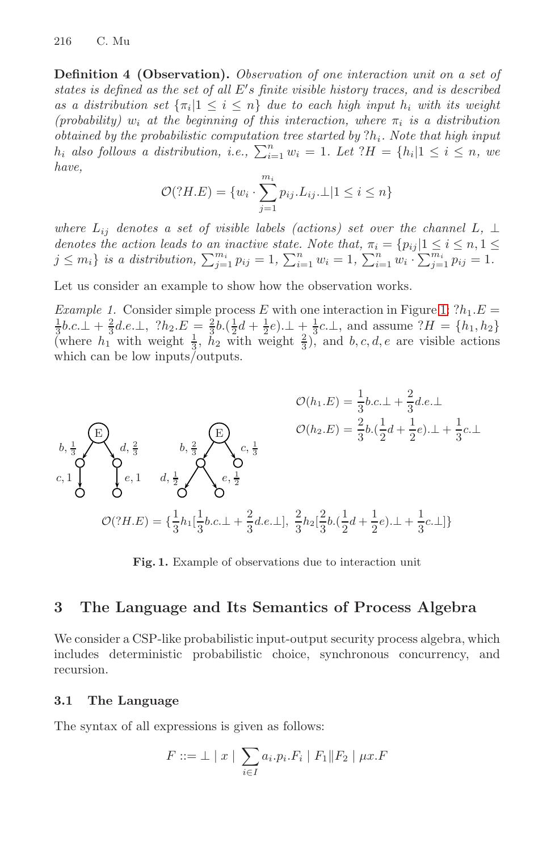**Definition 4 (Observation).** *Observation of one interaction unit on a set of states is defined as the set of all* E s *finite visible history traces, and is described as a distribution set*  $\{\pi_i | 1 \leq i \leq n\}$  *due to each high input h<sub>i</sub> with its weight*  $(probability)$   $w_i$  *at the beginning of this interaction, where*  $\pi_i$  *is a distribution obtained by the probabilistic computation tree started by*  $?h_i$ *. Note that high input*  $h_i$  also follows a distribution, i.e.,  $\sum_{i=1}^n w_i = 1$ . Let  $^2H = \{h_i | 1 \le i \le n\}$ , we *have,*

$$
\mathcal{O}(?H.E) = \{w_i \cdot \sum_{j=1}^{m_i} p_{ij} \cdot L_{ij} \cdot \perp | 1 \le i \le n\}
$$

*where*  $L_{ij}$  *denotes a set of visible labels (actions) set over the channel*  $L, \perp$ *denotes the action leads to an inactive state. Note that,*  $\pi_i = \{p_{ij} | 1 \leq i \leq n, 1 \leq j \leq n\}$  $j \leq m_i$  *is a distribution,*  $\sum_{j=1}^{m_i} p_{ij} = 1$ ,  $\sum_{i=1}^{n} w_i = 1$ ,  $\sum_{i=1}^{n} w_i \cdot \sum_{j=1}^{m_i} p_{ij} = 1$ .

Let us consider an example to show how the observation works.

*Example 1.* Consider simple process E with one interaction in Figure 1:  $?h_1.E =$  $\frac{1}{3}b.c.\perp + \frac{2}{3}d.e.\perp, ?h_2.E = \frac{2}{3}b.(\frac{1}{2}d + \frac{1}{2}e).\perp + \frac{1}{3}c.\perp, \text{ and assume } ?H = \{h_1, h_2\}$ (where  $h_1$  with weight  $\frac{1}{3}$ ,  $h_2$  with weight  $\frac{2}{3}$ ), and  $b, c, d, e$  are visible actions which can be low inputs/outputs.

<span id="page-5-1"></span><span id="page-5-0"></span>
$$
\mathcal{O}(h_1.E) = \frac{1}{3}b.c.\perp + \frac{2}{3}d.e.\perp
$$
  
\n
$$
b, \frac{1}{3}
$$
\n
$$
c, 1
$$
\n
$$
\begin{array}{ccc}\n\bullet & \bullet & \bullet \\
\bullet & \bullet & \bullet \\
\bullet & \bullet & \bullet\n\end{array}
$$
\n
$$
c, \frac{1}{3}
$$
\n
$$
\begin{array}{ccc}\n\bullet & \bullet & \bullet \\
\bullet & \bullet & \bullet & \bullet \\
\bullet & \bullet & \bullet & \bullet\n\end{array}
$$
\n
$$
c, \frac{1}{3}
$$
\n
$$
c, \frac{1}{2}
$$
\n
$$
c, \frac{1}{2}
$$
\n
$$
c, \frac{1}{2}
$$
\n
$$
c, \frac{1}{2}
$$
\n
$$
c, \frac{1}{2}
$$
\n
$$
c, \frac{1}{2}
$$
\n
$$
c, \frac{1}{2}
$$
\n
$$
c, \frac{1}{3}
$$
\n
$$
c, \frac{1}{2}
$$
\n
$$
c, \frac{1}{3}
$$
\n
$$
c, \frac{1}{3}
$$
\n
$$
c, \frac{1}{3}
$$
\n
$$
c, \frac{1}{3}
$$
\n
$$
c, \frac{1}{3}
$$
\n
$$
c, \frac{1}{3}
$$
\n
$$
c, \frac{1}{3}
$$
\n
$$
c, \frac{1}{3}
$$
\n
$$
c, \frac{1}{3}
$$
\n
$$
c, \frac{1}{3}
$$
\n
$$
c, \frac{1}{3}
$$
\n
$$
c, \frac{1}{3}
$$
\n
$$
c, \frac{1}{3}
$$
\n
$$
c, \frac{1}{3}
$$
\n
$$
c, \frac{1}{3}
$$
\n
$$
c, \frac{1}{3}
$$
\n
$$
c, \frac{1}{3}
$$
\n
$$
c, \frac{1}{3}
$$
\n
$$
c, \frac{1}{3}
$$
\n
$$
c, \frac{1}{3}
$$
\n
$$
c, \frac{1}{3}
$$
\n
$$
c
$$

**Fig. 1.** Example of observations due to interaction unit

## **3 The Language and Its Semantics of Process Algebra**

We consider a CSP-like probabilistic input-output security process algebra, which includes deterministic probabilistic choice, synchronous concurrency, and recursion.

#### **3.1 The Language**

The syntax of all expressions is given as follows:

$$
F ::= \bot \mid x \mid \sum_{i \in I} a_i \cdot p_i \cdot F_i \mid F_1 \mid F_2 \mid \mu x \cdot F
$$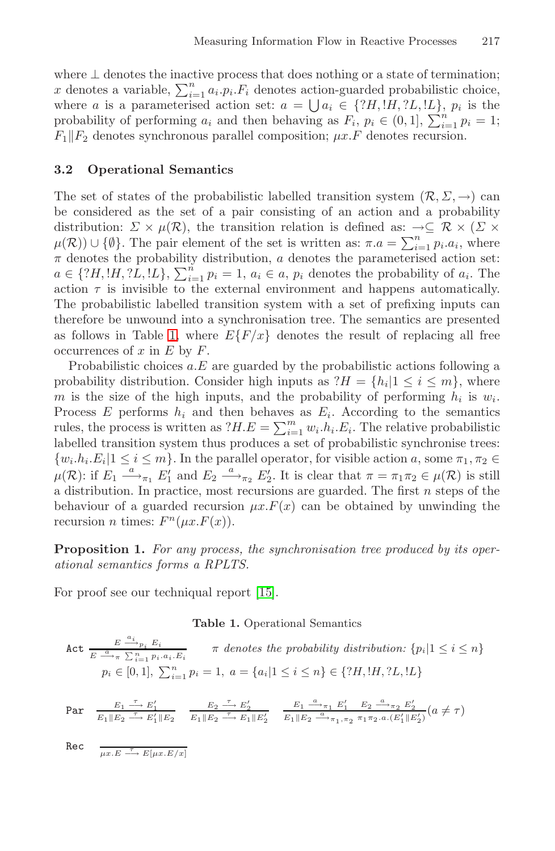where  $\perp$  denotes the inactive process that does nothing or a state of termination; x denotes a variable,  $\sum_{i=1}^{n} a_i p_i F_i$  denotes action-guarded probabilistic choice, where a is a parameterised action set:  $a = \bigcup a_i \in \{?H, !H, ?L, !L\}, p_i$  is the probability of performing  $a_i$  and then behaving as  $F_i$ ,  $p_i \in (0,1], \sum_{i=1}^n p_i = 1;$  $F_1$ || $F_2$  denotes synchronous parallel composition;  $\mu x.F$  denotes recursion.

#### **3.2 Operational Semantics**

The set of states of the probabilistic labelled transition system  $(\mathcal{R}, \Sigma, \rightarrow)$  can b[e](#page-6-0) considered as the set of a pair consisting of an action and a probability distribution:  $\Sigma \times \mu(\mathcal{R})$ , the transition relation is defined as:  $\rightarrow \subseteq \mathcal{R} \times (\Sigma \times$  $\mu(\mathcal{R})$ )  $\cup$  { $\emptyset$ }. The pair element of the set is written as:  $\pi.a = \sum_{i=1}^{n} p_i.a_i$ , where  $\pi$  denotes the probability distribution, a denotes the parameterised action set:  $a \in \{?H, !H, ?L, !L\}, \sum_{i=1}^{n} p_i = 1, a_i \in a, p_i$  denotes the probability of  $a_i$ . The action  $\tau$  is invisible to the external environment and happens automatically. The probabilistic labelled transition system with a set of prefixing inputs can therefore be unwound into a synchronisation tree. The semantics are presented as follows in Table 1, where  $E\{F/x\}$  denotes the result of replacing all free occurrences of  $x$  in  $E$  by  $F$ .

Probabilistic choices a.E are guarded by the probabilistic actions following a probability distribution. Consider high inputs as  $H = \{h_i | 1 \leq i \leq m\}$ , where m is the size of the high inputs, and the probability of performing  $h_i$  is  $w_i$ . Process E performs  $h_i$  and then behaves as  $E_i$ . According to the semantics rules, the process is written as  $H.E = \sum_{i=1}^{m} w_i \cdot h_i.E_i$ . The relative probabilistic labelled transition system thus produces a set of probabilistic synchronise trees:  $\{w_i,h_i.E_i|1 \leq i \leq m\}$ . In the parallel operator, for visible action a, some  $\pi_1, \pi_2 \in$  $\mu(\mathcal{R})$ : if  $E_1 \stackrel{a}{\longrightarrow}_{\pi_1} E'_1$  $E_1 \stackrel{a}{\longrightarrow}_{\pi_1} E'_1$  and  $E_2 \stackrel{a}{\longrightarrow}_{\pi_2} E'_2$ . It is clear that  $\pi = \pi_1 \pi_2 \in \mu(\mathcal{R})$  is still a distribution. In practice, most recursions are guarded. The first  $n$  steps of the behaviour of a guarded recursion  $\mu x.F(x)$  can be obtained by unwinding the recursion *n* times:  $F^n(\mu x.F(x))$ .

<span id="page-6-0"></span>**Proposition 1.** *For any process, the synchronisation tree produced by its operational semantics forms a RPLTS.*

For proof see our techniqual report [15].

**Table 1.** Operational Semantics

$$
\begin{aligned}\n\text{Act} \; & \frac{E \; \xrightarrow{a_i} p_i \; E_i}{E \; \xrightarrow{a} \; \pi \; \sum_{i=1}^n p_i \cdot a_i \cdot E_i} \qquad \pi \text{ denotes the probability distribution: } \{p_i | 1 \le i \le n\} \\
& p_i \in [0, 1], \; \sum_{i=1}^n p_i = 1, \; a = \{a_i | 1 \le i \le n\} \in \{?H, !H, ?L, !L\} \\
\text{Par} \; & \frac{E_1 \; \xrightarrow{\tau} E_1'}{E_1 \| E_2 \; \xrightarrow{E_2} \; \sum_{i=1}^n |E_2 \; \xrightarrow{\tau} E_1 \| E_2'} \quad \frac{E_1 \; \xrightarrow{a} \; \pi_1 \; E_1'}{E_1 \| E_2 \; \xrightarrow{a} \pi_1 \pi_2 \cdot a \cdot (E_1' \| E_2')} (a \ne \tau)\n\end{aligned}
$$

```
Rec
                 \mu x.E \stackrel{\tau}{\longrightarrow} E[\mu x.E/x]
```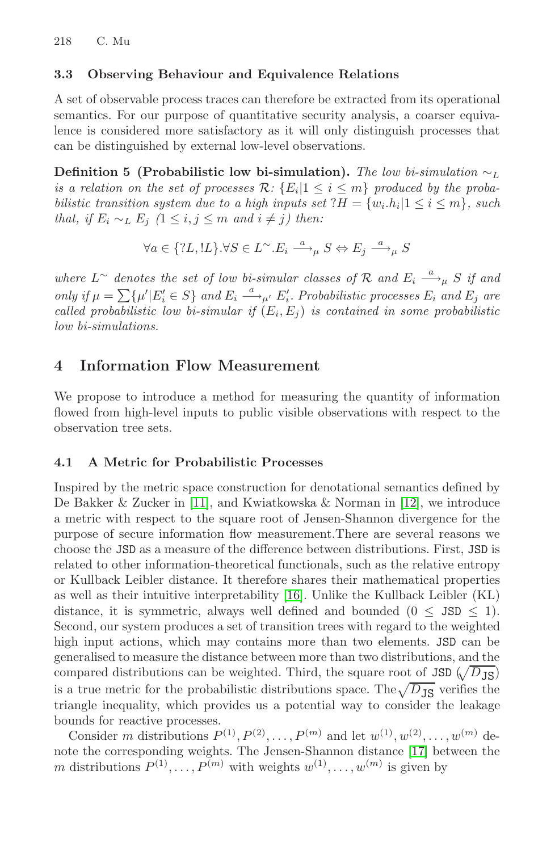#### **3.3 Observing Behaviour and Equivalence Relations**

A set of observable process traces can therefore be extracted from its operational semantics. For our purpose of quantitative security analysis, a coarser equivalence is considered more satisfactory as it will only distinguish processes that can be distinguished by external low-level observations.

**Definition 5 (Probabilistic low bi-simulation).** *The low bi-simulation* ∼<sup>L</sup> *is a relation on the set of processes*  $\mathcal{R}: \{E_i | 1 \leq i \leq m\}$  *produced by the probabilistic transition system due to a high inputs set*  $H = \{w_i \cdot h_i | 1 \leq i \leq m\}$ , such *that, if*  $E_i \sim_L E_j$  (1 ≤ *i, j* ≤ *m and i* ≠ *j*) *then:* 

$$
\forall a \in \{?L, !L\}.\forall S \in L^{\sim}.E_i \xrightarrow{a} \mu S \Leftrightarrow E_j \xrightarrow{a} \mu S
$$

<span id="page-7-0"></span>where  $L^{\sim}$  *denotes the set of low bi-simular classes of*  $\mathcal{R}$  *and*  $E_i \stackrel{a}{\longrightarrow}_{\mu} S$  *if and only if*  $\mu = \sum \{ \mu' | E'_i \in S \}$  *and*  $E_i \stackrel{a}{\longrightarrow} \mu'$   $E'_i$ . Probabilistic processes  $E_i$  *and*  $E_j$  *are called probabilistic low bi-simular if*  $(E_i, E_j)$  *is contained in some probabilistic low bi-simulations.*

## **4 Information Flow Measurement**

We propose to introduce a method for measuring the quantity of information flowed from high-level inputs to public visible observations with respect to the observation tree sets.

## **4.1 A Metric for Probabilistic Processes**

Inspired by the metri[c](#page-14-11) [spa](#page-14-11)ce construction for denotational semantics defined by De Bakker & Zucker in [11], and Kwiatkowska & Norman in [12], we introduce a metric with respect to the square root of Jensen-Shannon divergence for the purpose of secure information flow measurement.There are several reasons we choose the JSD as a measure of the difference between distributions. First, JSD is related to other information-theoretical functionals, such as the relative entropy or Kullback Leibler distance. It therefore shares their mathematical properties as well as their intuitive interpretability [16]. Unlike the Kullback Leibler (KL) distance, it is symmetric, always well defined and bounded ( $0 \leq JSD \leq 1$ ). Second, our system produces a set of transiti[on t](#page-14-12)rees with regard to the weighted high input actions, which may contains more than two elements. JSD can be generalised to measure the distance between more than two distributions, and the compared distributions can be weighted. Third, the square root of JSD  $(\sqrt{D_{\text{JS}}})$ is a true metric for the probabilistic distributions space. The  $\sqrt{D_{\text{JS}}}$  verifies the triangle inequality, which provides us a potential way to consider the leakage bounds for reactive processes.

Consider m distributions  $P^{(1)}, P^{(2)}, \ldots, P^{(m)}$  and let  $w^{(1)}, w^{(2)}, \ldots, w^{(m)}$  denote the corresponding weights. The Jensen-Shannon distance [17] between the m distributions  $P^{(1)}, \ldots, P^{(m)}$  with weights  $w^{(1)}, \ldots, w^{(m)}$  is given by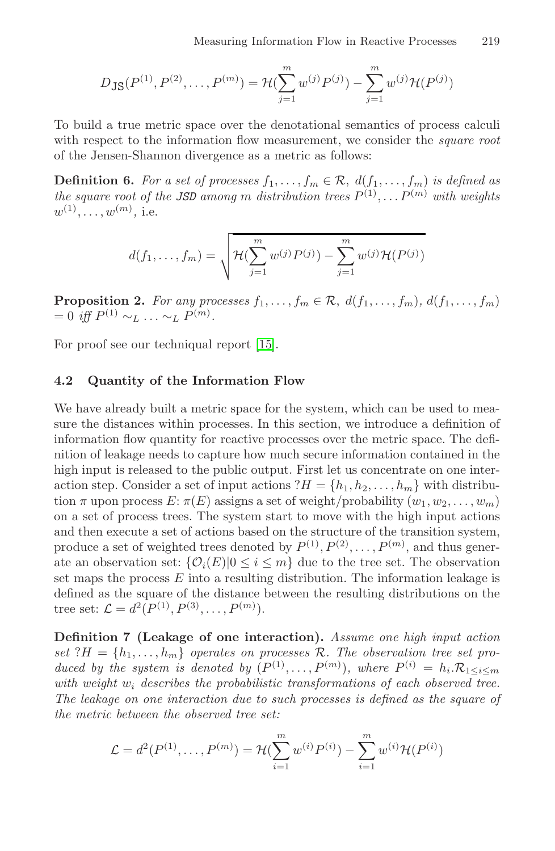$$
D_{\text{JS}}(P^{(1)}, P^{(2)}, \dots, P^{(m)}) = \mathcal{H}(\sum_{j=1}^{m} w^{(j)} P^{(j)}) - \sum_{j=1}^{m} w^{(j)} \mathcal{H}(P^{(j)})
$$

To build a true metric space over the denotational semantics of process calculi with respect to the information flow measurement, we consider the *square root* of the Jensen-Shannon divergence as a metric as follows:

**Definition 6.** For a set of processes  $f_1, \ldots, f_m \in \mathcal{R}, d(f_1, \ldots, f_m)$  is defined as *the square root of the JSD among* m *distribution trees*  $P^{(1)}$ ,...  $P^{(m)}$  *with weights*  $w^{(1)}, \ldots, w^{(m)}$ , i.e.

$$
d(f_1, ..., f_m) = \sqrt{\mathcal{H}(\sum_{j=1}^m w^{(j)} P^{(j)}) - \sum_{j=1}^m w^{(j)} \mathcal{H}(P^{(j)})}
$$

**Proposition 2.** *For any processes*  $f_1, \ldots, f_m \in \mathcal{R}, d(f_1, \ldots, f_m), d(f_1, \ldots, f_m)$  $= 0$  *iff*  $P^{(1)} \sim_L \ldots \sim_L P^{(m)}$ .

For proof see our techniqual report [15].

### **4.2 Quantity of the Information Flow**

We have already built a metric space for the system, which can be used to measure the distances within processes. In this section, we introduce a definition of information flow quantity for reactive processes over the metric space. The definition of leakage needs to capture how much secure information contained in the high input is released to the public output. First let us concentrate on one interaction step. Consider a set of input actions  $H = \{h_1, h_2, \ldots, h_m\}$  with distribution  $\pi$  upon process  $E: \pi(E)$  assigns a set of weight/probability  $(w_1, w_2, \ldots, w_m)$ on a set of process trees. The system start to move with the high input actions and then execute a set of actions based on the structure of the transition system, produce a set of weighted trees denoted by  $P^{(1)}, P^{(2)}, \ldots, P^{(m)}$ , and thus generate an observation set:  $\{\mathcal{O}_i(E)|0 \leq i \leq m\}$  due to the tree set. The observation set maps the process  $E$  into a resulting distribution. The information leakage is defined as the square of the distance between the resulting distributions on the tree set:  $\mathcal{L} = d^2(P^{(1)}, P^{(3)}, \ldots, P^{(m)}).$ 

**Definition 7 (Leakage of one interaction).** *Assume one high input action* set  $PH = \{h_1, \ldots, h_m\}$  operates on processes R. The observation tree set pro*duced by the system is denoted by*  $(P^{(1)},...,P^{(m)})$ *, where*  $P^{(i)} = h_i \mathcal{R}_1 \leq \mathcal{R}_1$ with weight  $w_i$  describes the probabilistic transformations of each observed tree. *The leakage on one interaction due to such processes is defined as the square of the metric between the observed tree set:*

$$
\mathcal{L} = d^2(P^{(1)}, \dots, P^{(m)}) = \mathcal{H}(\sum_{i=1}^m w^{(i)} P^{(i)}) - \sum_{i=1}^m w^{(i)} \mathcal{H}(P^{(i)})
$$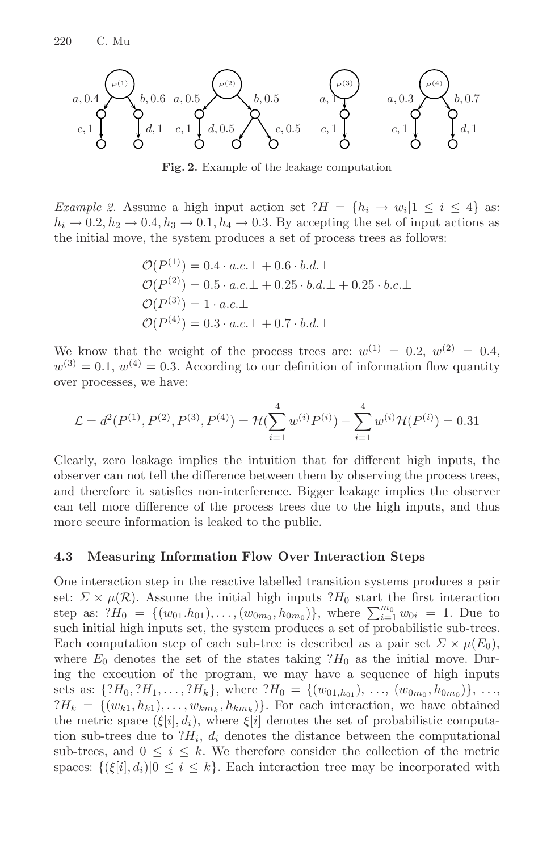

**Fig. 2.** Example of the leakage computation

*Example 2.* Assume a high input action set  $H = \{h_i \rightarrow w_i | 1 \leq i \leq 4\}$  as:  $h_i \rightarrow 0.2, h_2 \rightarrow 0.4, h_3 \rightarrow 0.1, h_4 \rightarrow 0.3$ . By accepting the set of input actions as the initial move, the system produces a set of process trees as follows:

$$
\mathcal{O}(P^{(1)}) = 0.4 \cdot a.c.\bot + 0.6 \cdot b.d.\bot
$$
  

$$
\mathcal{O}(P^{(2)}) = 0.5 \cdot a.c.\bot + 0.25 \cdot b.d.\bot + 0.25 \cdot b.c.\bot
$$
  

$$
\mathcal{O}(P^{(3)}) = 1 \cdot a.c.\bot
$$
  

$$
\mathcal{O}(P^{(4)}) = 0.3 \cdot a.c.\bot + 0.7 \cdot b.d.\bot
$$

We know that the weight of the process trees are:  $w^{(1)} = 0.2, w^{(2)} = 0.4$ ,  $w^{(3)} = 0.1, w^{(4)} = 0.3$ . According to our definition of information flow quantity over processes, we have:

$$
\mathcal{L} = d^2(P^{(1)}, P^{(2)}, P^{(3)}, P^{(4)}) = \mathcal{H}(\sum_{i=1}^4 w^{(i)} P^{(i)}) - \sum_{i=1}^4 w^{(i)} \mathcal{H}(P^{(i)}) = 0.31
$$

Clearly, zero leakage implies the intuition that for different high inputs, the observer can not tell the difference between them by observing the process trees, and therefore it satisfies non-interference. Bigger leakage implies the observer can tell more difference of the process trees due to the high inputs, and thus more secure information is leaked to the public.

#### **4.3 Measuring Information Flow Over Interaction Steps**

One interaction step in the reactive labelled transition systems produces a pair set:  $\Sigma \times \mu(\mathcal{R})$ . Assume the initial high inputs ?H<sub>0</sub> start the first interaction step as:  $\hat{H}_0 = \{ (w_{01}.h_{01}), \ldots, (w_{0m_0}, h_{0m_0}) \}$ , where  $\sum_{i=1}^{m_0} w_{0i} = 1$ . Due to such initial high inputs set, the system produces a set of probabilistic sub-trees. Each computation step of each sub-tree is described as a pair set  $\Sigma \times \mu(E_0)$ , where  $E_0$  denotes the set of the states taking  $H_0$  as the initial move. During the execution of the program, we may have a sequence of high inputs sets as:  $\{?H_0, ?H_1, \ldots, ?H_k\}$ , where  $?H_0 = \{(w_{01,h_{01}}), \ldots, (w_{0m_0}, h_{0m_0})\}, \ldots$  $?H_k = \{(w_{k1}, h_{k1}), \ldots, w_{km_k}, h_{km_k}\}\.$  For each interaction, we have obtained the metric space  $(\xi[i], d_i)$ , where  $\xi[i]$  denotes the set of probabilistic computation sub-trees due to  $H_i$ ,  $d_i$  denotes the distance between the computational sub-trees, and  $0 \leq i \leq k$ . We therefore consider the collection of the metric spaces:  $\{(\xi[i], d_i)|0 \leq i \leq k\}$ . Each interaction tree may be incorporated with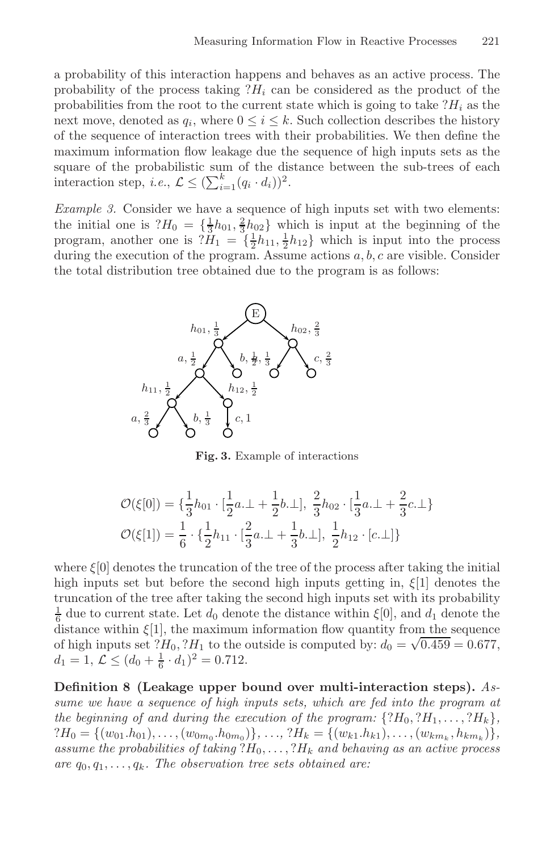a probability of this interaction happens and behaves as an active process. The probability of the process taking  $H_i$  can be considered as the product of the probabilities from the root to the current state which is going to take  $H_i$  as the next move, denoted as  $q_i$ , where  $0 \leq i \leq k$ . Such collection describes the history of the sequence of interaction trees with their probabilities. We then define the maximum information flow leakage due the sequence of high inputs sets as the square of the probabilistic sum of the distance between the sub-trees of each interaction step, *i.e.*,  $\mathcal{L} \leq (\sum_{i=1}^{k} (q_i \cdot d_i))^2$ .

*Example 3.* Consider we have a sequence of high inputs set with two elements: the initial one is  $H_0 = {\frac{1}{3}h_{01}, \frac{2}{3}h_{02}}$  which is input at the beginning of the program, another one is  $\tilde{H}_1 = \{\frac{1}{2}h_{11}, \frac{1}{2}h_{12}\}\$  which is input into the process during the execution of the program. Assume actions  $a, b, c$  are visible. Consider the total distribution tree obtained due to the program is as follows:



**Fig. 3.** Example of interactions

$$
\begin{aligned} \mathcal{O}(\xi[0])&=\{\frac{1}{3}h_{01}\cdot[\frac{1}{2}a.\bot+\frac{1}{2}b.\bot],\ \frac{2}{3}h_{02}\cdot[\frac{1}{3}a.\bot+\frac{2}{3}c.\bot] \\ \mathcal{O}(\xi[1])&=\frac{1}{6}\cdot\{\frac{1}{2}h_{11}\cdot[\frac{2}{3}a.\bot+\frac{1}{3}b.\bot],\ \frac{1}{2}h_{12}\cdot[c.\bot]\} \end{aligned}
$$

where  $\xi[0]$  denotes the truncation of the tree of the process after taking the initial high inputs set but before the second high inputs getting in,  $\xi[1]$  denotes the truncation of the tree after taking the second high inputs set with its probability  $\frac{1}{6}$  due to current state. Let  $d_0$  denote the distance within  $\xi[0]$ , and  $d_1$  denote the distance within  $\xi[1]$ , the maximum information flow quantity from the sequence distance within  $\xi[1]$ , the maximum information now quantity from the sequence<br>of high inputs set  $H_0$ ,  $H_1$  to the outside is computed by:  $d_0 = \sqrt{0.459} = 0.677$ ,  $d_1 = 1, \mathcal{L} \leq (d_0 + \frac{1}{6} \cdot d_1)^2 = 0.712.$ 

**Definition 8 (Leakage upper bound over multi-interaction steps).** *Assume we have a sequence of high inputs sets, which are fed into the program at the beginning of and during the execution of the program:*  ${?H_0, ?H_1, \ldots, ?H_k}$ ,  $?H_0 = \{(w_{01}.h_{01}),\ldots,(w_{0m_0}.h_{0m_0})\},\ldots, ?H_k = \{(w_{k1}.h_{k1}),\ldots,(w_{km_k},h_{km_k})\},\}$ *assume the probabilities of taking*  $?H_0, \ldots, ?H_k$  *and behaving as an active process are*  $q_0, q_1, \ldots, q_k$ *. The observation tree sets obtained are:*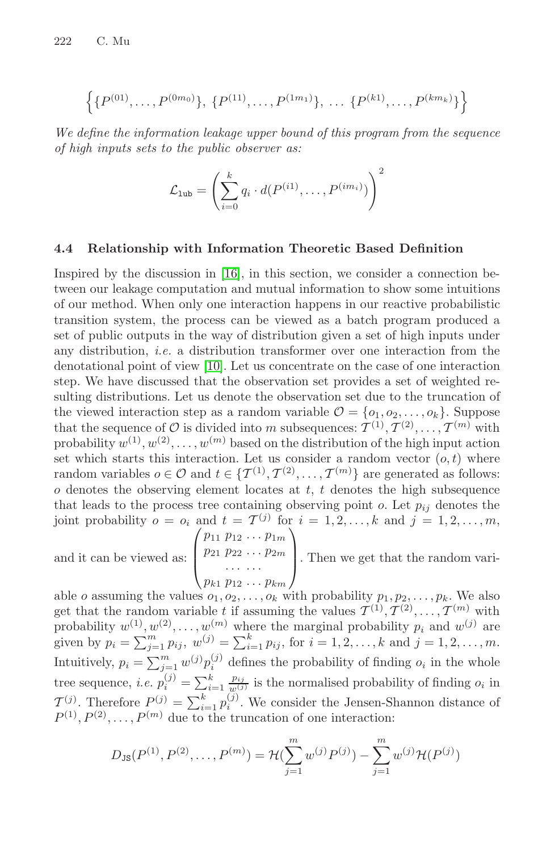$$
\left\{ \{P^{(01)}, \ldots, P^{(0m_0)}\}, \{P^{(11)}, \ldots, P^{(1m_1)}\}, \ldots \{P^{(k1)}, \ldots, P^{(km_k)}\}\right\}
$$

*We define the information leakage upper bound of this program from the sequence of high inp[uts](#page-14-11) sets to the public observer as:*

$$
\mathcal{L}_{\text{lub}} = \left(\sum_{i=0}^{k} q_i \cdot d(P^{(i1)}, \dots, P^{(im_i)})\right)^2
$$

#### **4.4 R[ela](#page-14-7)tionship with Information Theoretic Based Definition**

Inspired by the discussion in [16], in this section, we consider a connection between our leakage computation and mutual information to show some intuitions of our method. When only one interaction happens in our reactive probabilistic transition system, the process can be viewed as a batch program produced a set of public outputs in the way of distribution given a set of high inputs under any distribution, *i.e.* a distribution transformer over one interaction from the denotational point of view [10]. Let us concentrate on the case of one interaction step. We have discussed that the observation set provides a set of weighted resulting distributions. Let us denote the observation set due to the truncation of the viewed interaction step as a random variable  $\mathcal{O} = \{o_1, o_2, \ldots, o_k\}$ . Suppose that the sequence of O is divided into m subsequences:  $\mathcal{T}^{(1)}, \mathcal{T}^{(2)}, \ldots, \mathcal{T}^{(m)}$  with probability  $w^{(1)}, w^{(2)}, \ldots, w^{(m)}$  based on the distribution of the high input action set which starts this interaction. Let us consider a random vector  $(o, t)$  where random variables  $o \in \mathcal{O}$  and  $t \in \{T^{(1)}, T^{(2)}, \ldots, T^{(m)}\}$  are generated as follows:  $o$  denotes the observing element locates at  $t, t$  denotes the high subsequence that leads to the process tree containing observing point  $o$ . Let  $p_{ij}$  denotes the joint probability  $o = o_i$  and  $t = \mathcal{T}^{(j)}$  for  $i = 1, 2, ..., k$  and  $j = 1, 2, ..., m$ ,  $\sqrt{ }$  $p_{11} p_{12} \ldots p_{1m}$  $\setminus$ 

and it can be viewed as:  $\overline{\mathcal{L}}$  $p_{21} p_{22} \ldots p_{2m}$ ... ...  $p_{k1} p_{12} \ldots p_{km}$ ⎟⎟⎠ . Then we get that the random vari-

able *o* assuming the values  $o_1, o_2, \ldots, o_k$  with probability  $p_1, p_2, \ldots, p_k$ . We also get that the random variable t if assuming the values  $\mathcal{T}^{(1)}, \mathcal{T}^{(2)}, \ldots, \mathcal{T}^{(m)}$  with probability  $w^{(1)}, w^{(2)}, \ldots, w^{(m)}$  where the marginal probability  $p_i$  and  $w^{(j)}$  are given by  $p_i = \sum_{j=1}^m p_{ij}$ ,  $w^{(j)} = \sum_{i=1}^k p_{ij}$ , for  $i = 1, 2, ..., k$  and  $j = 1, 2, ..., m$ . Intuitively,  $p_i = \sum_{j=1}^m w^{(j)} p_i^{(j)}$  defines the probability of finding  $o_i$  in the whole tree sequence, *i.e.*  $p_i^{(j)} = \sum_{i=1}^k \frac{p_{ij}}{w^{(j)}}$  is the normalised probability of finding  $o_i$  in  $\mathcal{T}^{(j)}$ . Therefore  $P^{(j)} = \sum_{i=1}^{k} p_i^{(j)}$ . We consider the Jensen-Shannon distance of  $P^{(1)}$ ,  $P^{(2)}$ ,...,  $P^{(m)}$  due to the truncation of one interaction:

$$
D_{\text{JS}}(P^{(1)}, P^{(2)}, \dots, P^{(m)}) = \mathcal{H}(\sum_{j=1}^{m} w^{(j)} P^{(j)}) - \sum_{j=1}^{m} w^{(j)} \mathcal{H}(P^{(j)})
$$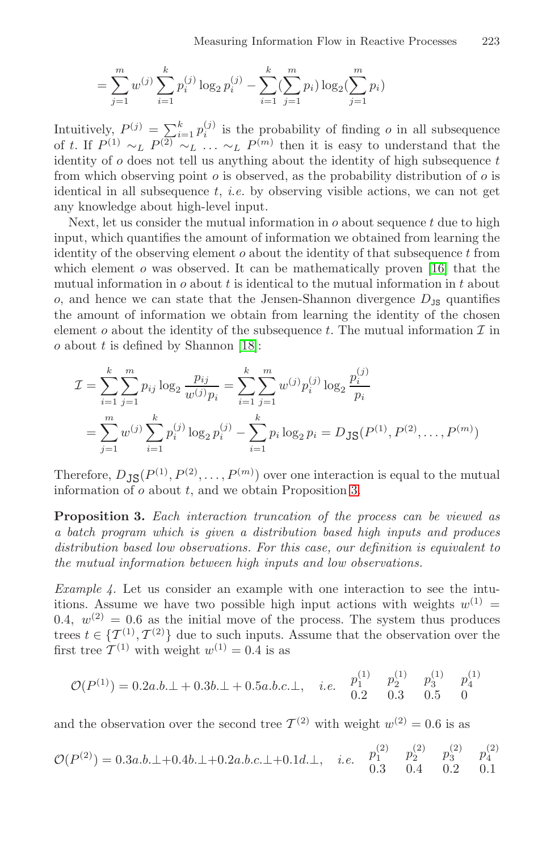$$
= \sum_{j=1}^{m} w^{(j)} \sum_{i=1}^{k} p_i^{(j)} \log_2 p_i^{(j)} - \sum_{i=1}^{k} \sum_{j=1}^{m} p_i) \log_2(\sum_{j=1}^{m} p_i)
$$

Intuitively,  $P^{(j)} = \sum_{i=1}^{k} p_i^{(j)}$  is the probability of finding o in all subsequence of t. If  $P^{(1)} \sim_L P^{(2)} \sim_L \ldots \sim_L P^{(m)}$  then it [is e](#page-14-11)asy to understand that the identity of  $o$  does not tell us anything about the identity of high subsequence  $t$ from which observing point  $o$  is observed, as the probability distribution of  $o$  is identical in all subsequence t, *i.e.* by observing visible actions, we can not get any knowledge about high-level input.

Next, let us [con](#page-14-13)sider the mutual information in  $o$  about sequence  $t$  due to high input, which quantifies the amount of information we obtained from learning the identity of the observing element  $o$  about the identity of that subsequence  $t$  from which element  $\sigma$  was observed. It can be mathematically proven [16] that the mutual information in  $o$  about  $t$  is identical to the mutual information in  $t$  about o, and hence we can state that the Jensen-Shannon divergence  $D_{\text{JS}}$  quantifies the amount of information we obtain from learning the identity of the chosen element o about the identity of the subsequence t. The mutual information  $\mathcal I$  in  $o$  about  $t$  is defined by Shannon [18]:

<span id="page-12-0"></span>
$$
\mathcal{I} = \sum_{i=1}^{k} \sum_{j=1}^{m} p_{ij} \log_2 \frac{p_{ij}}{w^{(j)} p_i} = \sum_{i=1}^{k} \sum_{j=1}^{m} w^{(j)} p_i^{(j)} \log_2 \frac{p_i^{(j)}}{p_i}
$$

$$
= \sum_{j=1}^{m} w^{(j)} \sum_{i=1}^{k} p_i^{(j)} \log_2 p_i^{(j)} - \sum_{i=1}^{k} p_i \log_2 p_i = D_{\text{JS}}(P^{(1)}, P^{(2)}, \dots, P^{(m)})
$$

Therefore,  $D_{\text{JS}}(P^{(1)}, P^{(2)}, \ldots, P^{(m)})$  over one interaction is equal to the mutual information of  $o$  about  $t$ , and we obtain Proposition 3.

**Proposition 3.** *Each interaction truncation of the process can be viewed as a batch program which is given a distribution based high inputs and produces distribution based low observations. For this case, our definition is equivalent to the mutual information between high inputs and low observations.*

*Example 4.* Let us consider an example with one interaction to see the intuitions. Assume we have two possible high input actions with weights  $w^{(1)} =$ 0.4,  $w^{(2)} = 0.6$  as the initial move of the process. The system thus produces trees  $t \in \{T^{(1)}, T^{(2)}\}$  due to such inputs. Assume that the observation over the first tree  $T^{(1)}$  with weight  $w^{(1)} = 0.4$  is as

$$
\mathcal{O}(P^{(1)}) = 0.2a.b.\bot + 0.3b.\bot + 0.5a.b.c.\bot, \quad i.e. \quad p_1^{(1)} \quad p_2^{(1)} \quad p_3^{(1)} \quad p_4^{(1)} \quad p_4^{(1)}
$$

and the observation over the second tree  $\mathcal{T}^{(2)}$  with weight  $w^{(2)} = 0.6$  is as

$$
\mathcal{O}(P^{(2)})=0.3a.b.\bot+0.4b.\bot+0.2a.b.c.\bot+0.1d.\bot,\quad i.e.\quad \begin{matrix}p^{(2)}_1&p^{(2)}_2&p^{(2)}_3&p^{(2)}_4\\0.3&0.4&0.2&0.1\end{matrix}
$$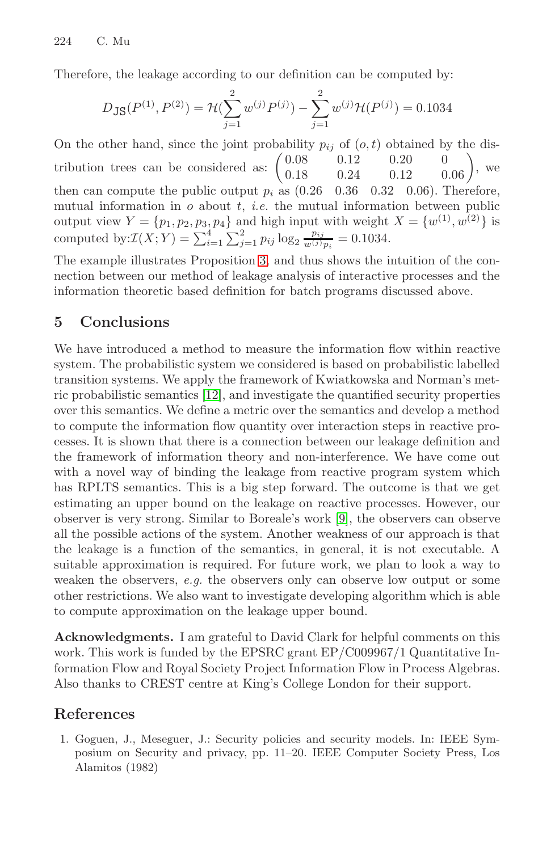Therefore, the leakage according to our definition can be computed by:

$$
D_{\text{JS}}(P^{(1)}, P^{(2)}) = \mathcal{H}(\sum_{j=1}^{2} w^{(j)} P^{(j)}) - \sum_{j=1}^{2} w^{(j)} \mathcal{H}(P^{(j)}) = 0.1034
$$

On the other ha[nd,](#page-12-0) since the joint probability  $p_{ij}$  of  $(o, t)$  obtained by the distribution trees can be considered as:  $\begin{pmatrix} 0.08 & 0.12 & 0.20 & 0 \\ 0.18 & 0.24 & 0.12 & 0.06 \end{pmatrix}$  $\begin{pmatrix} 0 \\ 0.06 \end{pmatrix}$ , we then can compute the public output  $p_i$  as (0.26 0.36 0.32 0.06). Therefore, mutual information in  $o$  about  $t$ , *i.e.* the mutual information between public output view  $Y = \{p_1, p_2, p_3, p_4\}$  and high input with weight  $X = \{w^{(1)}, w^{(2)}\}$  is computed by:  $\mathcal{I}(X;Y) = \sum_{i=1}^{4}$  $_{i=1}^{4} \sum_{j=1}^{2} p_{ij} \log_2 \frac{p_{ij}}{w^{(j)} p_i} = 0.1034.$ 

The example illustrates Proposition 3, and thus shows the intuition of the connection [bet](#page-14-8)ween our method of leakage analysis of interactive processes and the information theoretic based definition for batch programs discussed above.

## **5 Conclusions**

We have introduced a method to measure the information flow within reactive system. The probabilistic system we considered is based on probabilistic labelled transition systems. We apply the framework of Kwiatkowska and Norman's metric probabilistic semantics [12], [an](#page-14-4)d investigate the quantified security properties over this semantics. We define a metric over the semantics and develop a method to compute the information flow quantity over interaction steps in reactive processes. It is shown that there is a connection between our leakage definition and the framework of information theory and non-interference. We have come out with a novel way of binding the leakage from reactive program system which has RPLTS semantics. This is a big step forward. The outcome is that we get estimating an upper bound on the leakage on reactive processes. However, our observer is very strong. Similar to Boreale's work [9], the observers can observe all the possible actions of the system. Another weakness of our approach is that the leakage is a function of the semantics, in general, it is not executable. A suitable approximation is required. For future work, we plan to look a way to weaken the observers, *e.g.* the observers only can observe low output or some other restrictions. We also want to investigate developing algorithm which is able to compute approximation on the leakage upper bound.

<span id="page-13-0"></span>**Acknowledgments.** I am grateful to David Clark for helpful comments on this work. This work is funded by the EPSRC grant EP/C009967/1 Quantitative Information Flow and Royal Society Project Information Flow in Process Algebras. Also thanks to CREST centre at King's College London for their support.

## **References**

1. Goguen, J., Meseguer, J.: Security policies and security models. In: IEEE Symposium on Security and privacy, pp. 11–20. IEEE Computer Society Press, Los Alamitos (1982)